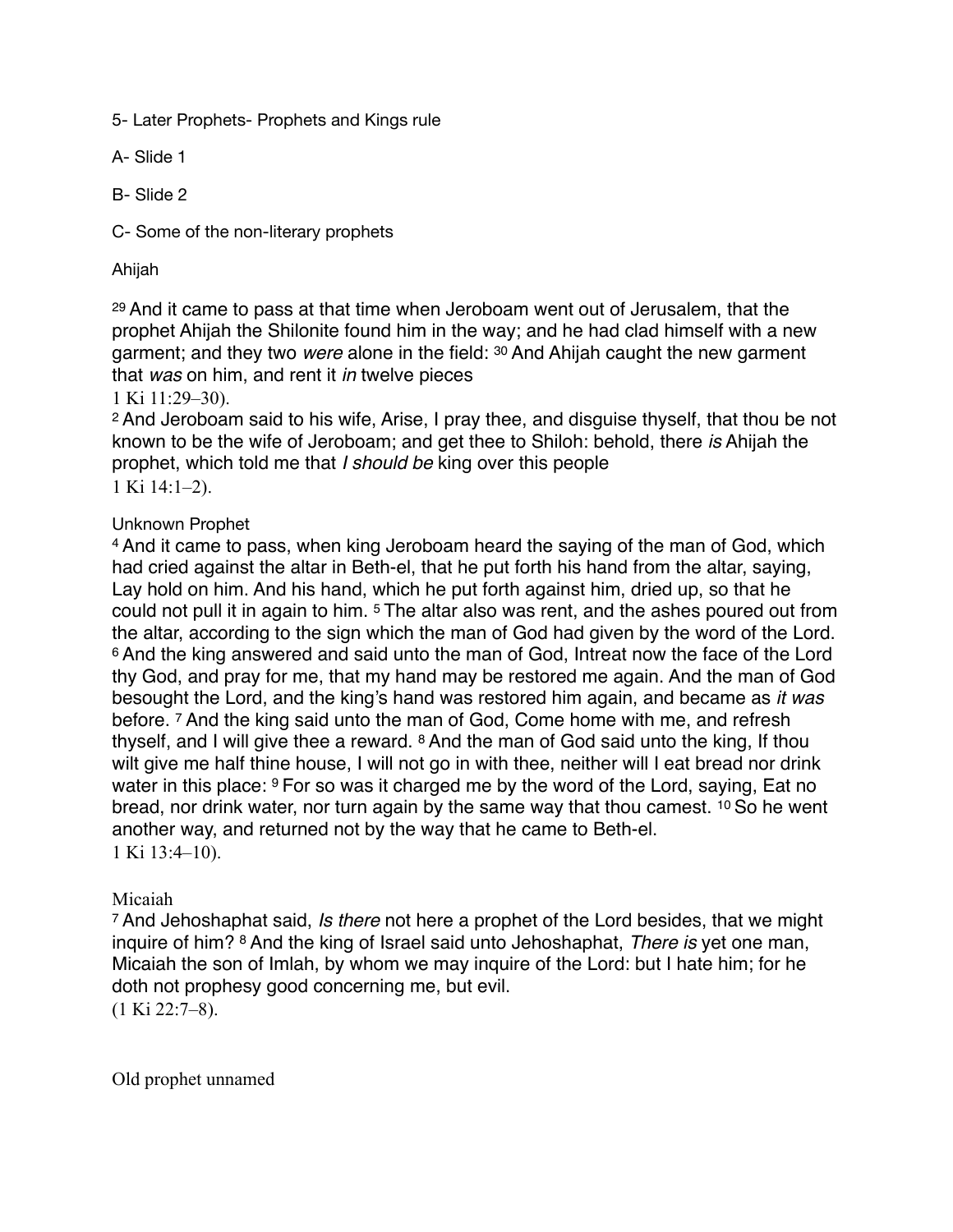5- Later Prophets- Prophets and Kings rule

A- Slide 1

B- Slide 2

C- Some of the non-literary prophets

Ahijah

<sup>29</sup> And it came to pass at that time when Jeroboam went out of Jerusalem, that the prophet Ahijah the Shilonite found him in the way; and he had clad himself with a new garment; and they two *were* alone in the field: 30 And Ahijah caught the new garment that *was* on him, and rent it *in* twelve pieces

1 Ki 11:29–30).

<sup>2</sup> And Jeroboam said to his wife, Arise, I pray thee, and disguise thyself, that thou be not known to be the wife of Jeroboam; and get thee to Shiloh: behold, there *is* Ahijah the prophet, which told me that *I should be* king over this people 1 Ki 14:1–2).

## Unknown Prophet

<sup>4</sup> And it came to pass, when king Jeroboam heard the saying of the man of God, which had cried against the altar in Beth-el, that he put forth his hand from the altar, saying, Lay hold on him. And his hand, which he put forth against him, dried up, so that he could not pull it in again to him. 5 The altar also was rent, and the ashes poured out from the altar, according to the sign which the man of God had given by the word of the Lord. <sup>6</sup> And the king answered and said unto the man of God, Intreat now the face of the Lord thy God, and pray for me, that my hand may be restored me again. And the man of God besought the Lord, and the king's hand was restored him again, and became as *it was* before. 7 And the king said unto the man of God, Come home with me, and refresh thyself, and I will give thee a reward. 8 And the man of God said unto the king, If thou wilt give me half thine house, I will not go in with thee, neither will I eat bread nor drink water in this place: <sup>9</sup> For so was it charged me by the word of the Lord, saying, Eat no bread, nor drink water, nor turn again by the same way that thou camest. 10 So he went another way, and returned not by the way that he came to Beth-el. 1 Ki 13:4–10).

## Micaiah

<sup>7</sup> And Jehoshaphat said, *Is there* not here a prophet of the Lord besides, that we might inquire of him? 8 And the king of Israel said unto Jehoshaphat, *There is* yet one man, Micaiah the son of Imlah, by whom we may inquire of the Lord: but I hate him; for he doth not prophesy good concerning me, but evil.

(1 Ki 22:7–8).

Old prophet unnamed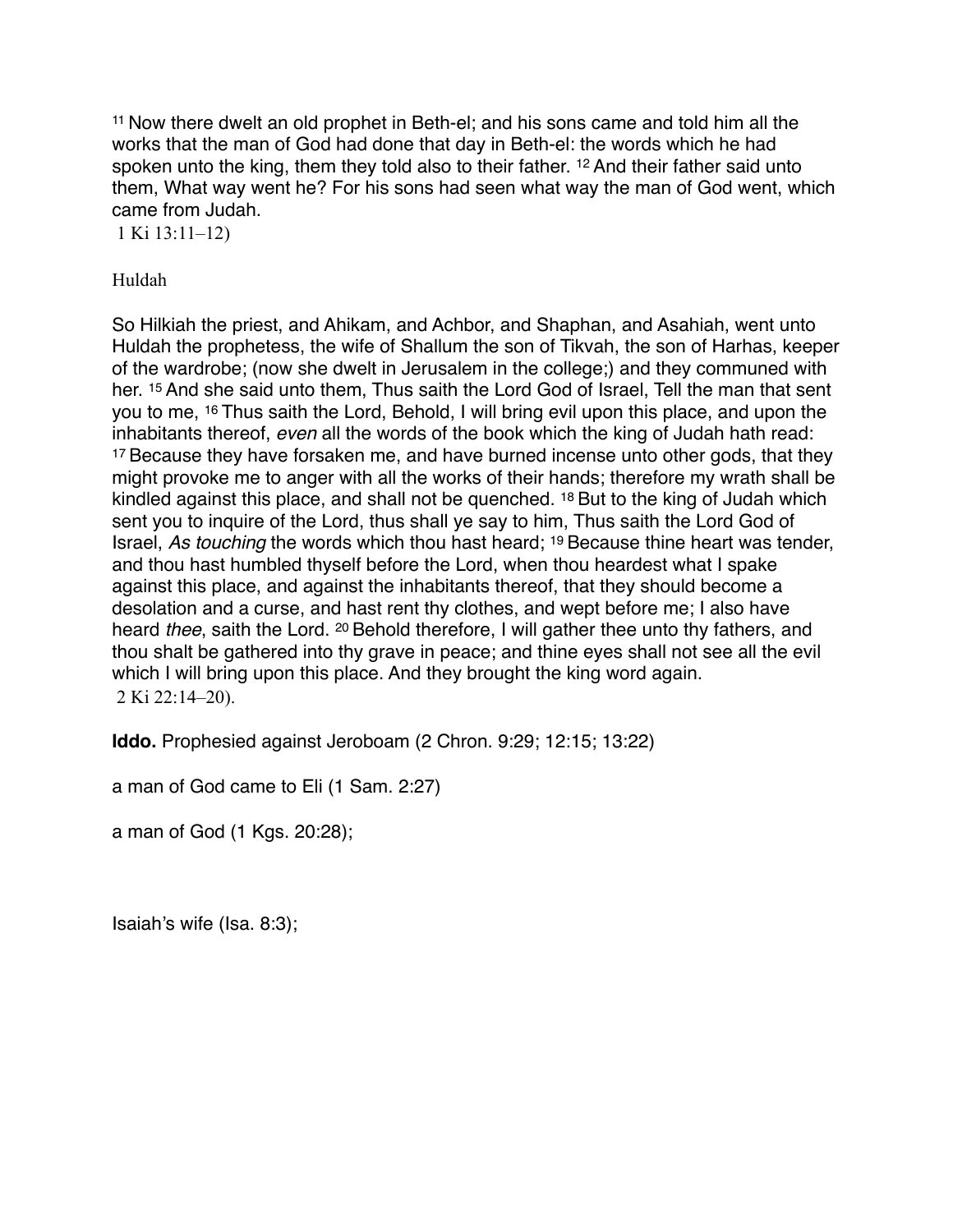<sup>11</sup> Now there dwelt an old prophet in Beth-el; and his sons came and told him all the works that the man of God had done that day in Beth-el: the words which he had spoken unto the king, them they told also to their father. <sup>12</sup> And their father said unto them, What way went he? For his sons had seen what way the man of God went, which came from Judah.

1 Ki 13:11–12)

Huldah

So Hilkiah the priest, and Ahikam, and Achbor, and Shaphan, and Asahiah, went unto Huldah the prophetess, the wife of Shallum the son of Tikvah, the son of Harhas, keeper of the wardrobe; (now she dwelt in Jerusalem in the college;) and they communed with her. <sup>15</sup> And she said unto them, Thus saith the Lord God of Israel, Tell the man that sent you to me, 16 Thus saith the Lord, Behold, I will bring evil upon this place, and upon the inhabitants thereof, *even* all the words of the book which the king of Judah hath read: <sup>17</sup> Because they have forsaken me, and have burned incense unto other gods, that they might provoke me to anger with all the works of their hands; therefore my wrath shall be kindled against this place, and shall not be quenched. 18 But to the king of Judah which sent you to inquire of the Lord, thus shall ye say to him, Thus saith the Lord God of Israel, *As touching* the words which thou hast heard; 19 Because thine heart was tender, and thou hast humbled thyself before the Lord, when thou heardest what I spake against this place, and against the inhabitants thereof, that they should become a desolation and a curse, and hast rent thy clothes, and wept before me; I also have heard *thee*, saith the Lord. 20 Behold therefore, I will gather thee unto thy fathers, and thou shalt be gathered into thy grave in peace; and thine eyes shall not see all the evil which I will bring upon this place. And they brought the king word again. 2 Ki 22:14–20).

**Iddo.** Prophesied against Jeroboam (2 Chron. 9:29; 12:15; 13:22)

a man of God came to Eli (1 Sam. 2:27)

a man of God (1 Kgs. 20:28);

Isaiah's wife (Isa. 8:3);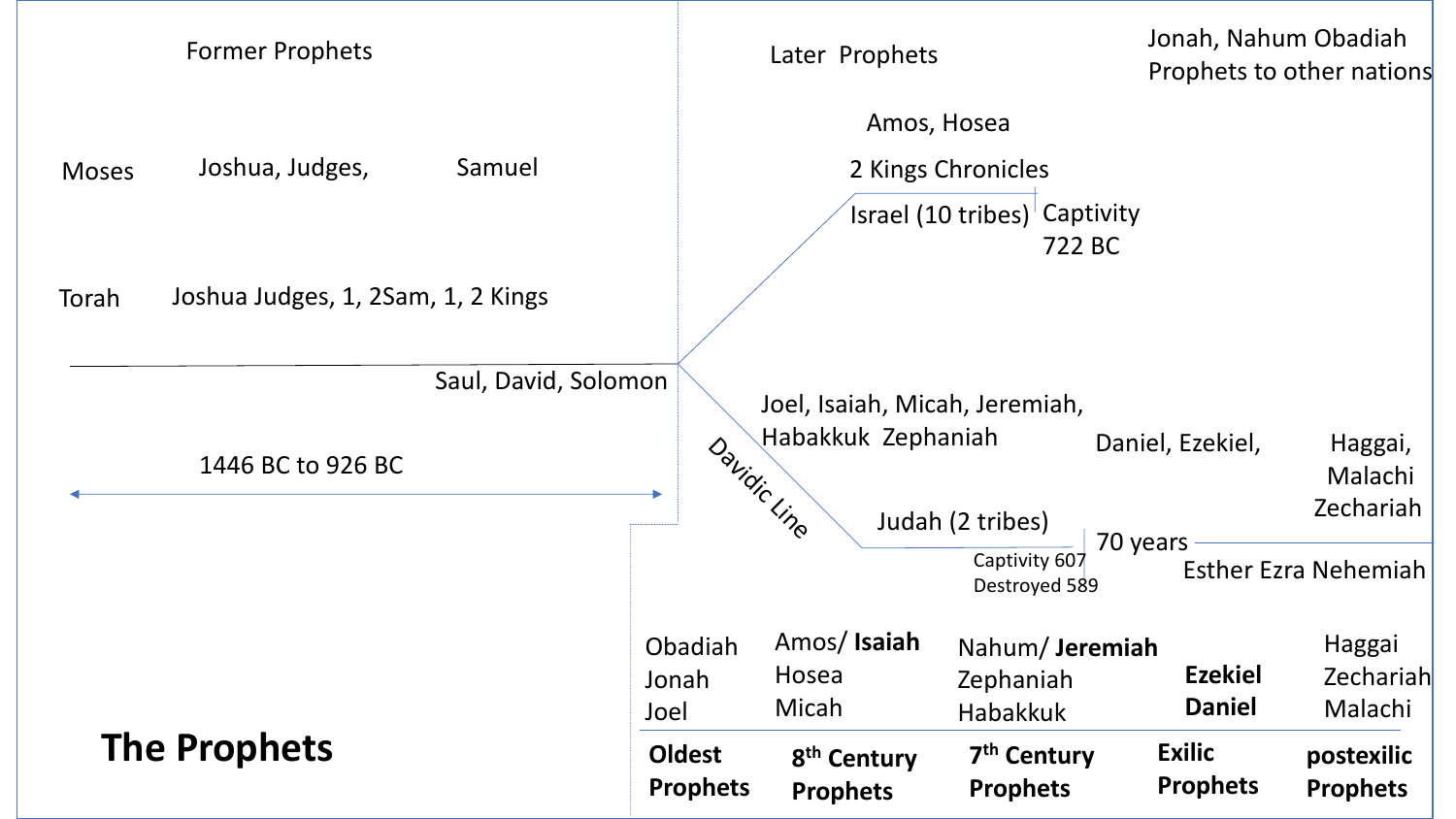